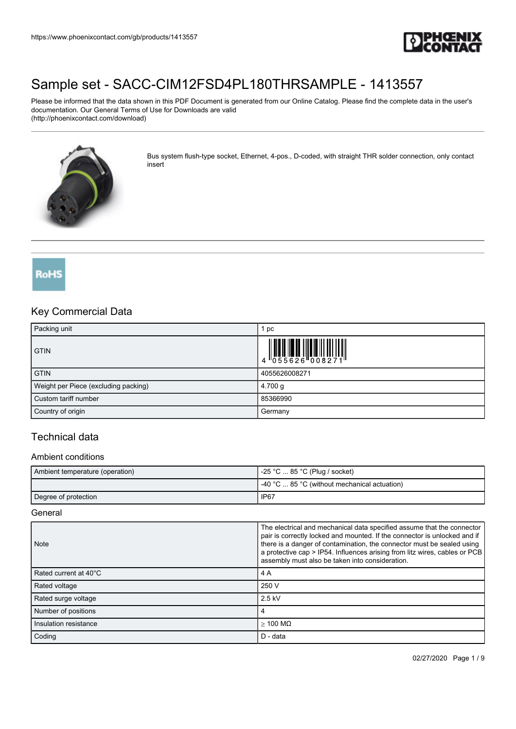

Please be informed that the data shown in this PDF Document is generated from our Online Catalog. Please find the complete data in the user's documentation. Our General Terms of Use for Downloads are valid (http://phoenixcontact.com/download)



Bus system flush-type socket, Ethernet, 4-pos., D-coded, with straight THR solder connection, only contact insert



### Key Commercial Data

| Packing unit                         | $p$ c                                                                                                                                                                                                                                                                                                                                                                                                             |  |
|--------------------------------------|-------------------------------------------------------------------------------------------------------------------------------------------------------------------------------------------------------------------------------------------------------------------------------------------------------------------------------------------------------------------------------------------------------------------|--|
| <b>GTIN</b>                          | $\begin{tabular}{c} \hline \rule{0pt}{3ex} \rule{0pt}{3ex} \rule{0pt}{3ex} \rule{0pt}{3ex} \rule{0pt}{3ex} \rule{0pt}{3ex} \rule{0pt}{3ex} \rule{0pt}{3ex} \rule{0pt}{3ex} \rule{0pt}{3ex} \rule{0pt}{3ex} \rule{0pt}{3ex} \rule{0pt}{3ex} \rule{0pt}{3ex} \rule{0pt}{3ex} \rule{0pt}{3ex} \rule{0pt}{3ex} \rule{0pt}{3ex} \rule{0pt}{3ex} \rule{0pt}{3ex} \rule{0pt}{3ex} \rule{0pt}{3ex} \rule{0pt}{3ex} \rule$ |  |
| <b>GTIN</b>                          | 4055626008271                                                                                                                                                                                                                                                                                                                                                                                                     |  |
| Weight per Piece (excluding packing) | 4.700 g                                                                                                                                                                                                                                                                                                                                                                                                           |  |
| Custom tariff number                 | 85366990                                                                                                                                                                                                                                                                                                                                                                                                          |  |
| Country of origin                    | Germany                                                                                                                                                                                                                                                                                                                                                                                                           |  |

### Technical data

#### Ambient conditions

| Ambient temperature (operation) | -25 °C  85 °C (Plug / socket)                 |  |
|---------------------------------|-----------------------------------------------|--|
|                                 | 1-40 °C  85 °C (without mechanical actuation) |  |
| Degree of protection            | IP67                                          |  |

General

| <b>Note</b>                     | The electrical and mechanical data specified assume that the connector<br>pair is correctly locked and mounted. If the connector is unlocked and if<br>there is a danger of contamination, the connector must be sealed using<br>a protective cap > IP54. Influences arising from litz wires, cables or PCB<br>assembly must also be taken into consideration. |
|---------------------------------|----------------------------------------------------------------------------------------------------------------------------------------------------------------------------------------------------------------------------------------------------------------------------------------------------------------------------------------------------------------|
| $\,$ Rated current at 40°C $\,$ | 4 A                                                                                                                                                                                                                                                                                                                                                            |
| Rated voltage                   | 250 V                                                                                                                                                                                                                                                                                                                                                          |
| Rated surge voltage             | 2.5 kV                                                                                                                                                                                                                                                                                                                                                         |
| Number of positions             |                                                                                                                                                                                                                                                                                                                                                                |
| Insulation resistance           | $>$ 100 M $\Omega$                                                                                                                                                                                                                                                                                                                                             |
| Coding                          | D - data                                                                                                                                                                                                                                                                                                                                                       |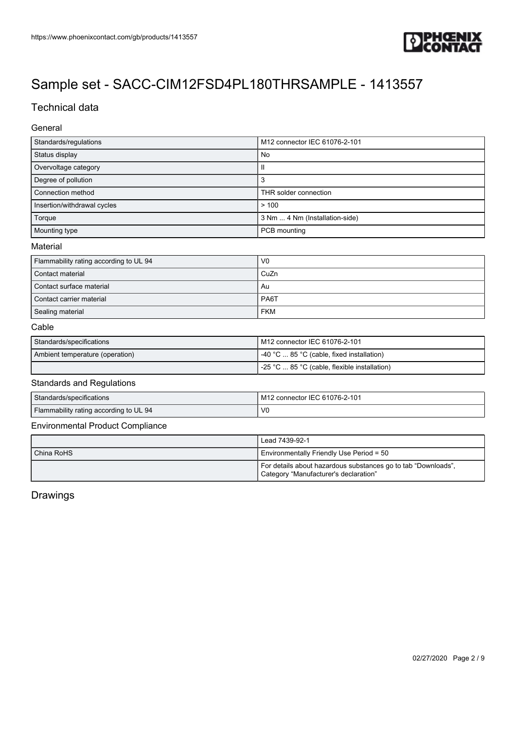

### Technical data

#### General

| Standards/regulations                  | M12 connector IEC 61076-2-101  |  |  |
|----------------------------------------|--------------------------------|--|--|
| Status display                         | No                             |  |  |
| Overvoltage category                   | Ш                              |  |  |
| Degree of pollution                    | 3                              |  |  |
| Connection method                      | THR solder connection          |  |  |
| Insertion/withdrawal cycles            | >100                           |  |  |
| Torque                                 | 3 Nm  4 Nm (Installation-side) |  |  |
| Mounting type                          | PCB mounting                   |  |  |
| Material                               |                                |  |  |
| Flammability rating according to UL 94 | V <sub>0</sub>                 |  |  |
| Contact material                       | CuZn                           |  |  |
| Contact surface material               | Au                             |  |  |
| Contact carrier material               | PA6T                           |  |  |
| Sealing material                       | <b>FKM</b>                     |  |  |

#### Cable

| Standards/specifications        | M12 connector IEC 61076-2-101                      |  |
|---------------------------------|----------------------------------------------------|--|
| Ambient temperature (operation) | $-40$ °C $\dots$ 85 °C (cable, fixed installation) |  |
|                                 | -25 °C  85 °C (cable, flexible installation)       |  |

#### Standards and Regulations

| Standards/specifications                      | M12 connector IEC 61076-2-101 |
|-----------------------------------------------|-------------------------------|
| <b>Flammability rating according to UL 94</b> | VC                            |

#### Environmental Product Compliance

|            | Lead 7439-92-1                                                                                         |  |  |
|------------|--------------------------------------------------------------------------------------------------------|--|--|
| China RoHS | Environmentally Friendly Use Period = 50                                                               |  |  |
|            | For details about hazardous substances go to tab "Downloads",<br>Category "Manufacturer's declaration" |  |  |

Drawings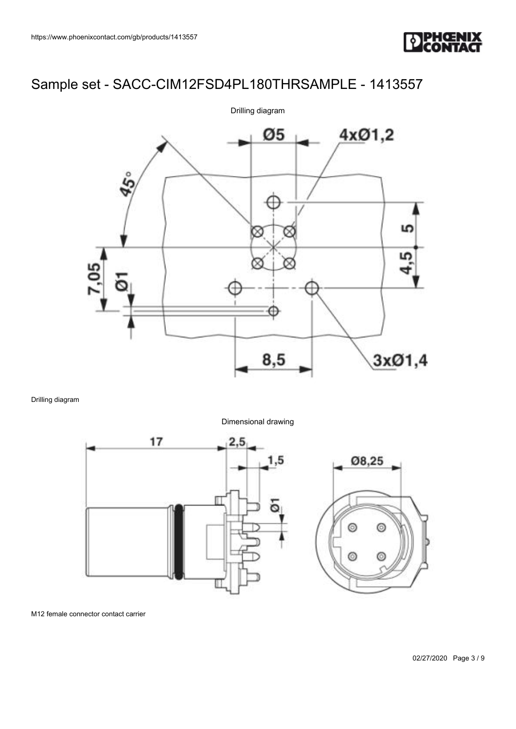



Drilling diagram

Dimensional drawing



M12 female connector contact carrier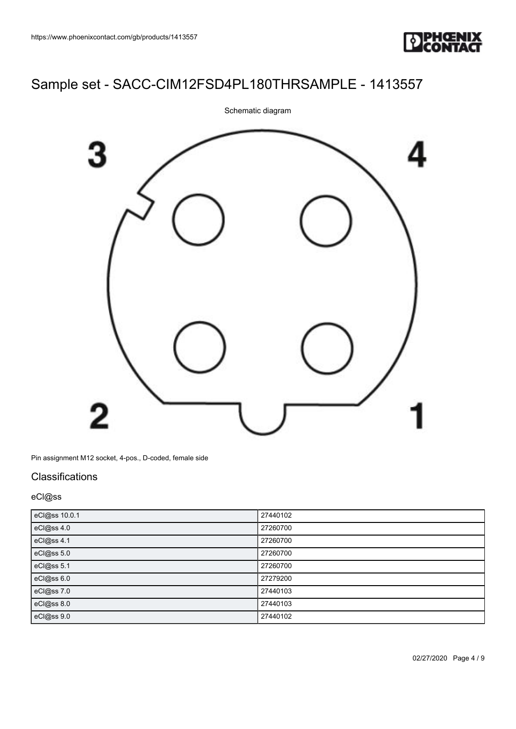



Pin assignment M12 socket, 4-pos., D-coded, female side

#### **Classifications**

#### eCl@ss

| eCl@ss 10.0.1 | 27440102 |
|---------------|----------|
| eCl@ss 4.0    | 27260700 |
| eCl@ss 4.1    | 27260700 |
| eCl@ss 5.0    | 27260700 |
| eCl@ss 5.1    | 27260700 |
| eCl@ss 6.0    | 27279200 |
| eCl@ss 7.0    | 27440103 |
| eCl@ss 8.0    | 27440103 |
| eCl@ss 9.0    | 27440102 |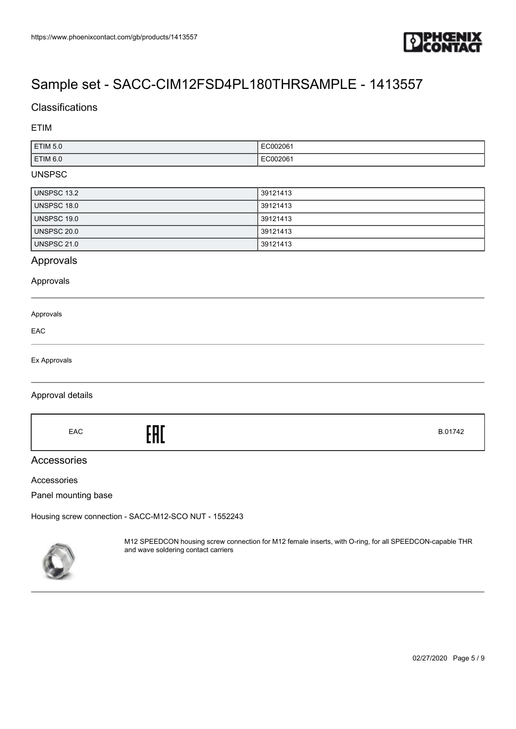

### **Classifications**

ETIM

| <b>ETIM 5.0</b> |   |
|-----------------|---|
| <b>ETIM 6.0</b> | . |

#### UNSPSC

| UNSPSC 13.2        | 39121413 |
|--------------------|----------|
| UNSPSC 18.0        | 39121413 |
| <b>UNSPSC 19.0</b> | 39121413 |
| UNSPSC 20.0        | 39121413 |
| <b>UNSPSC 21.0</b> | 39121413 |

#### Approvals

#### Approvals

| Approvals    |  |  |
|--------------|--|--|
| EAC          |  |  |
| Ex Approvals |  |  |

#### Approval details

 $\begin{array}{ccc}\n\text{EAC} \\
\text{B.01742}\n\end{array}$ 

#### Accessories

Accessories

Panel mounting base

[Housing screw connection - SACC-M12-SCO NUT - 1552243](https://www.phoenixcontact.com/gb/products/1552243)



M12 SPEEDCON housing screw connection for M12 female inserts, with O-ring, for all SPEEDCON-capable THR and wave soldering contact carriers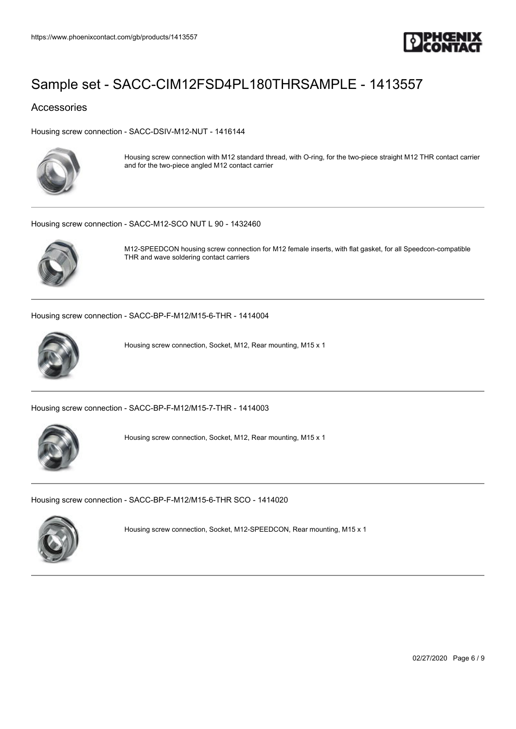

#### Accessories

[Housing screw connection - SACC-DSIV-M12-NUT - 1416144](https://www.phoenixcontact.com/gb/products/1416144)



Housing screw connection with M12 standard thread, with O-ring, for the two-piece straight M12 THR contact carrier and for the two-piece angled M12 contact carrier

[Housing screw connection - SACC-M12-SCO NUT L 90 - 1432460](https://www.phoenixcontact.com/gb/products/1432460)



M12-SPEEDCON housing screw connection for M12 female inserts, with flat gasket, for all Speedcon-compatible THR and wave soldering contact carriers

[Housing screw connection - SACC-BP-F-M12/M15-6-THR - 1414004](https://www.phoenixcontact.com/gb/products/1414004)



Housing screw connection, Socket, M12, Rear mounting, M15 x 1

[Housing screw connection - SACC-BP-F-M12/M15-7-THR - 1414003](https://www.phoenixcontact.com/gb/products/1414003)



Housing screw connection, Socket, M12, Rear mounting, M15 x 1

[Housing screw connection - SACC-BP-F-M12/M15-6-THR SCO - 1414020](https://www.phoenixcontact.com/gb/products/1414020)



Housing screw connection, Socket, M12-SPEEDCON, Rear mounting, M15 x 1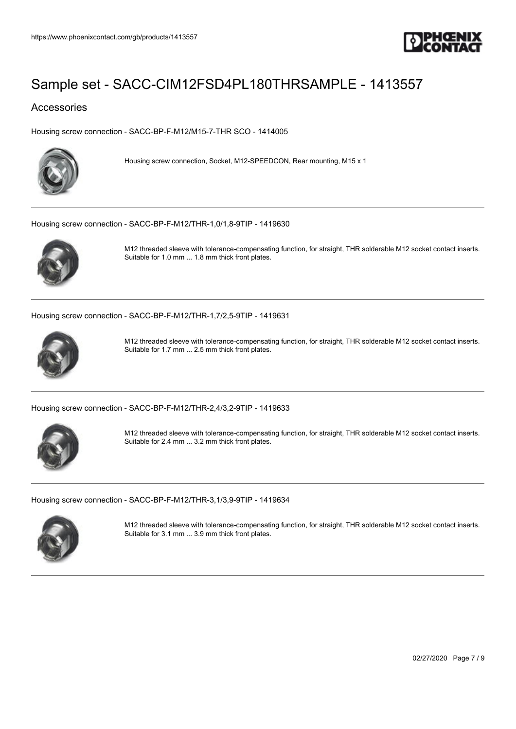

#### Accessories

[Housing screw connection - SACC-BP-F-M12/M15-7-THR SCO - 1414005](https://www.phoenixcontact.com/gb/products/1414005)



Housing screw connection, Socket, M12-SPEEDCON, Rear mounting, M15 x 1

[Housing screw connection - SACC-BP-F-M12/THR-1,0/1,8-9TIP - 1419630](https://www.phoenixcontact.com/gb/products/1419630)



M12 threaded sleeve with tolerance-compensating function, for straight, THR solderable M12 socket contact inserts. Suitable for 1.0 mm ... 1.8 mm thick front plates.

[Housing screw connection - SACC-BP-F-M12/THR-1,7/2,5-9TIP - 1419631](https://www.phoenixcontact.com/gb/products/1419631)



M12 threaded sleeve with tolerance-compensating function, for straight, THR solderable M12 socket contact inserts. Suitable for 1.7 mm ... 2.5 mm thick front plates.

[Housing screw connection - SACC-BP-F-M12/THR-2,4/3,2-9TIP - 1419633](https://www.phoenixcontact.com/gb/products/1419633)



M12 threaded sleeve with tolerance-compensating function, for straight, THR solderable M12 socket contact inserts. Suitable for 2.4 mm ... 3.2 mm thick front plates.

[Housing screw connection - SACC-BP-F-M12/THR-3,1/3,9-9TIP - 1419634](https://www.phoenixcontact.com/gb/products/1419634)



M12 threaded sleeve with tolerance-compensating function, for straight, THR solderable M12 socket contact inserts. Suitable for 3.1 mm ... 3.9 mm thick front plates.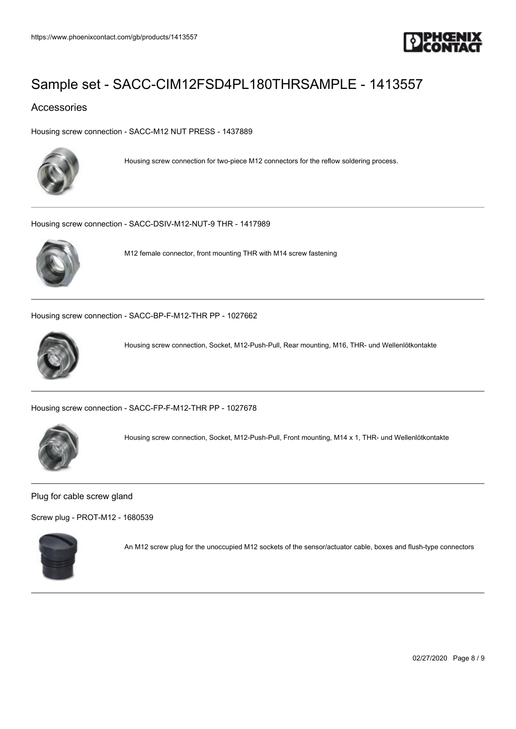

### Accessories

[Housing screw connection - SACC-M12 NUT PRESS - 1437889](https://www.phoenixcontact.com/gb/products/1437889)



Housing screw connection for two-piece M12 connectors for the reflow soldering process.

[Housing screw connection - SACC-DSIV-M12-NUT-9 THR - 1417989](https://www.phoenixcontact.com/gb/products/1417989)



M12 female connector, front mounting THR with M14 screw fastening

[Housing screw connection - SACC-BP-F-M12-THR PP - 1027662](https://www.phoenixcontact.com/gb/products/1027662)



Housing screw connection, Socket, M12-Push-Pull, Rear mounting, M16, THR- und Wellenlötkontakte

[Housing screw connection - SACC-FP-F-M12-THR PP - 1027678](https://www.phoenixcontact.com/gb/products/1027678)



Housing screw connection, Socket, M12-Push-Pull, Front mounting, M14 x 1, THR- und Wellenlötkontakte

#### Plug for cable screw gland

[Screw plug - PROT-M12 - 1680539](https://www.phoenixcontact.com/gb/products/1680539)



An M12 screw plug for the unoccupied M12 sockets of the sensor/actuator cable, boxes and flush-type connectors

02/27/2020 Page 8 / 9